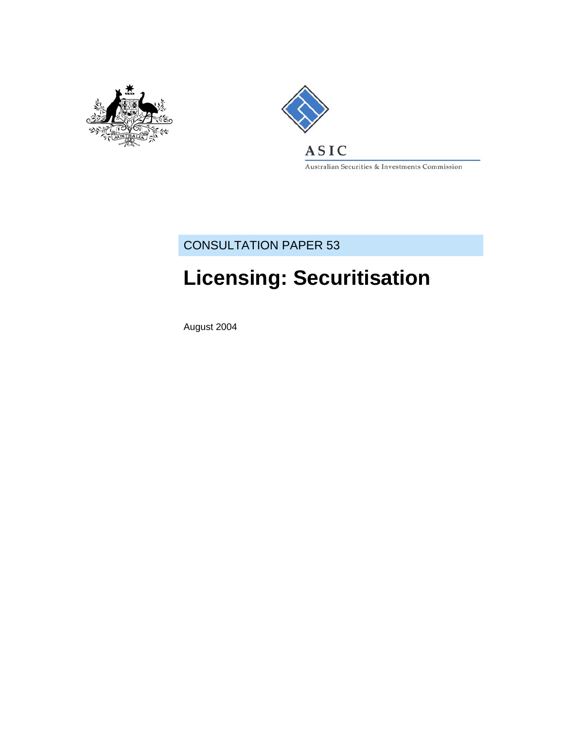



Australian Securities & Investments Commission

## CONSULTATION PAPER 53

# **Licensing: Securitisation**

August 2004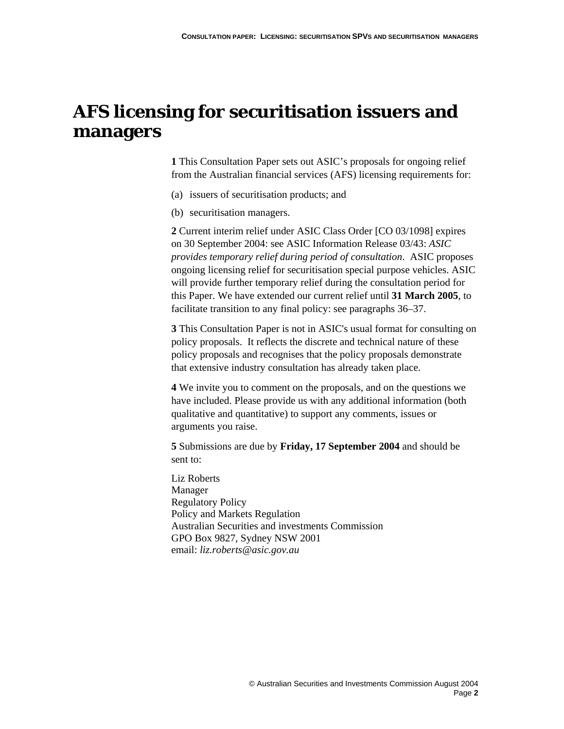## **AFS licensing for securitisation issuers and managers**

**1** This Consultation Paper sets out ASIC's proposals for ongoing relief from the Australian financial services (AFS) licensing requirements for:

- (a) issuers of securitisation products; and
- (b) securitisation managers.

**2** Current interim relief under ASIC Class Order [CO 03/1098] expires on 30 September 2004: see ASIC Information Release 03/43: *ASIC provides temporary relief during period of consultation*. ASIC proposes ongoing licensing relief for securitisation special purpose vehicles. ASIC will provide further temporary relief during the consultation period for this Paper. We have extended our current relief until **31 March 2005**, to facilitate transition to any final policy: see paragraphs 36–37.

**3** This Consultation Paper is not in ASIC's usual format for consulting on policy proposals. It reflects the discrete and technical nature of these policy proposals and recognises that the policy proposals demonstrate that extensive industry consultation has already taken place.

**4** We invite you to comment on the proposals, and on the questions we have included. Please provide us with any additional information (both qualitative and quantitative) to support any comments, issues or arguments you raise.

**5** Submissions are due by **Friday, 17 September 2004** and should be sent to:

Liz Roberts Manager Regulatory Policy Policy and Markets Regulation Australian Securities and investments Commission GPO Box 9827, Sydney NSW 2001 email: *liz.roberts@asic.gov.au*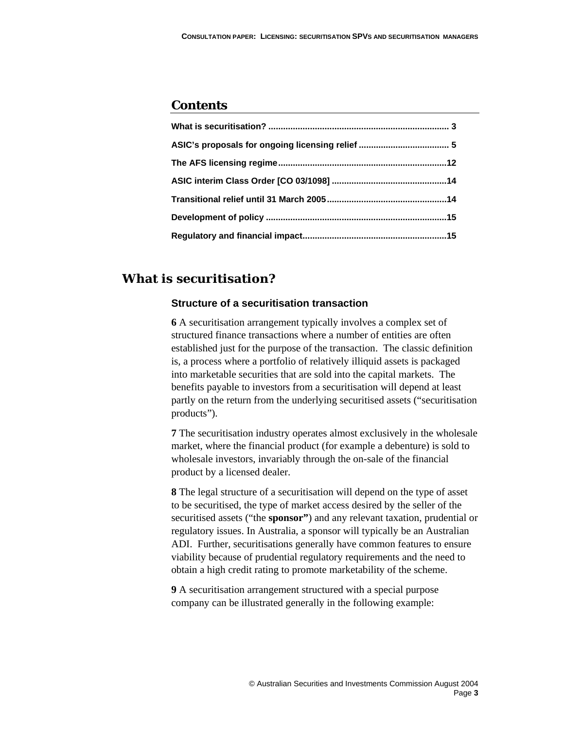## **Contents**

## **What is securitisation?**

#### **Structure of a securitisation transaction**

**6** A securitisation arrangement typically involves a complex set of structured finance transactions where a number of entities are often established just for the purpose of the transaction. The classic definition is, a process where a portfolio of relatively illiquid assets is packaged into marketable securities that are sold into the capital markets.The benefits payable to investors from a securitisation will depend at least partly on the return from the underlying securitised assets ("securitisation products").

**7** The securitisation industry operates almost exclusively in the wholesale market, where the financial product (for example a debenture) is sold to wholesale investors, invariably through the on-sale of the financial product by a licensed dealer.

**8** The legal structure of a securitisation will depend on the type of asset to be securitised, the type of market access desired by the seller of the securitised assets ("the **sponsor"**) and any relevant taxation, prudential or regulatory issues. In Australia, a sponsor will typically be an Australian ADI. Further, securitisations generally have common features to ensure viability because of prudential regulatory requirements and the need to obtain a high credit rating to promote marketability of the scheme.

**9** A securitisation arrangement structured with a special purpose company can be illustrated generally in the following example: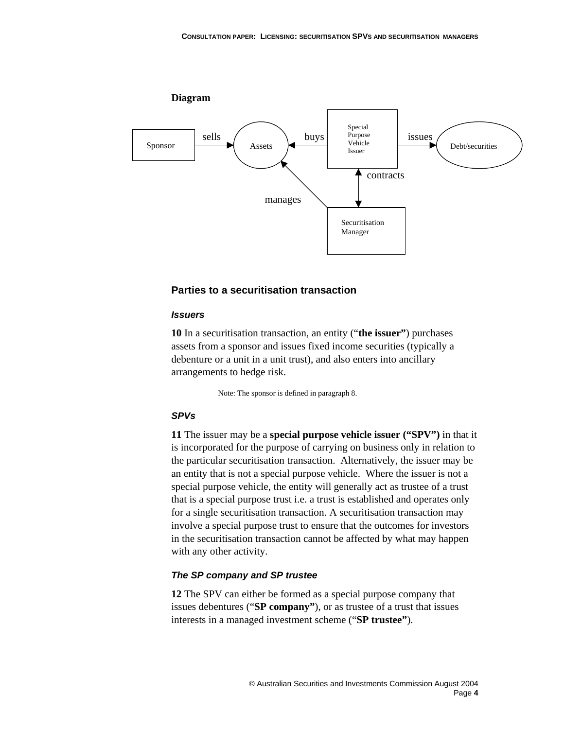

#### **Parties to a securitisation transaction**

#### *Issuers*

**10** In a securitisation transaction, an entity ("**the issuer"**) purchases assets from a sponsor and issues fixed income securities (typically a debenture or a unit in a unit trust), and also enters into ancillary arrangements to hedge risk.

Note: The sponsor is defined in paragraph 8.

#### *SPVs*

**11** The issuer may be a **special purpose vehicle issuer ("SPV")** in that it is incorporated for the purpose of carrying on business only in relation to the particular securitisation transaction. Alternatively, the issuer may be an entity that is not a special purpose vehicle. Where the issuer is not a special purpose vehicle, the entity will generally act as trustee of a trust that is a special purpose trust i.e. a trust is established and operates only for a single securitisation transaction. A securitisation transaction may involve a special purpose trust to ensure that the outcomes for investors in the securitisation transaction cannot be affected by what may happen with any other activity.

#### *The SP company and SP trustee*

**12** The SPV can either be formed as a special purpose company that issues debentures ("**SP company**"), or as trustee of a trust that issues interests in a managed investment scheme ("**SP trustee"**).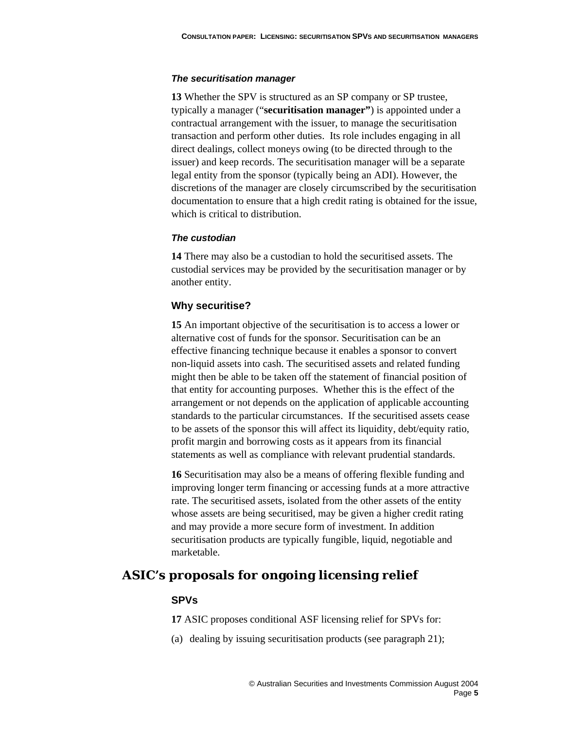#### *The securitisation manager*

**13** Whether the SPV is structured as an SP company or SP trustee, typically a manager ("**securitisation manager"**) is appointed under a contractual arrangement with the issuer, to manage the securitisation transaction and perform other duties. Its role includes engaging in all direct dealings, collect moneys owing (to be directed through to the issuer) and keep records. The securitisation manager will be a separate legal entity from the sponsor (typically being an ADI). However, the discretions of the manager are closely circumscribed by the securitisation documentation to ensure that a high credit rating is obtained for the issue, which is critical to distribution.

#### *The custodian*

**14** There may also be a custodian to hold the securitised assets. The custodial services may be provided by the securitisation manager or by another entity.

#### **Why securitise?**

**15** An important objective of the securitisation is to access a lower or alternative cost of funds for the sponsor. Securitisation can be an effective financing technique because it enables a sponsor to convert non-liquid assets into cash. The securitised assets and related funding might then be able to be taken off the statement of financial position of that entity for accounting purposes. Whether this is the effect of the arrangement or not depends on the application of applicable accounting standards to the particular circumstances. If the securitised assets cease to be assets of the sponsor this will affect its liquidity, debt/equity ratio, profit margin and borrowing costs as it appears from its financial statements as well as compliance with relevant prudential standards.

**16** Securitisation may also be a means of offering flexible funding and improving longer term financing or accessing funds at a more attractive rate. The securitised assets, isolated from the other assets of the entity whose assets are being securitised, may be given a higher credit rating and may provide a more secure form of investment. In addition securitisation products are typically fungible, liquid, negotiable and marketable.

## **ASIC's proposals for ongoing licensing relief**

#### **SPVs**

**17** ASIC proposes conditional ASF licensing relief for SPVs for:

(a) dealing by issuing securitisation products (see paragraph 21);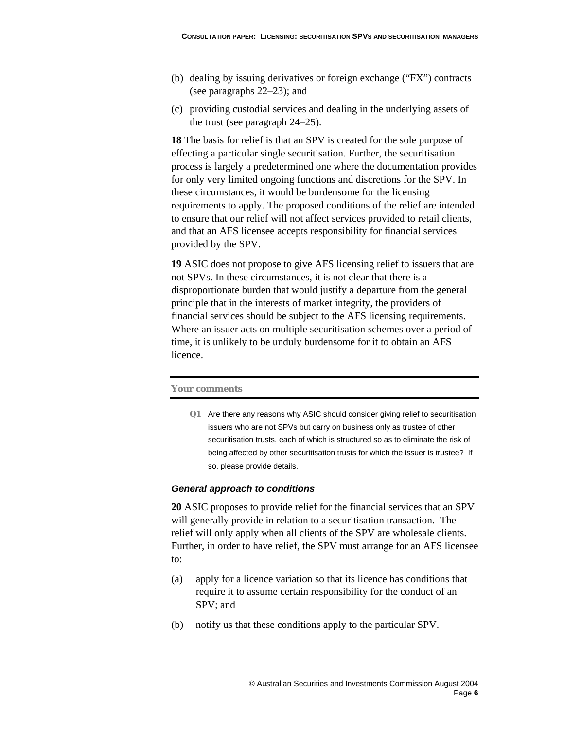- (b) dealing by issuing derivatives or foreign exchange ("FX") contracts (see paragraphs 22–23); and
- (c) providing custodial services and dealing in the underlying assets of the trust (see paragraph 24–25).

**18** The basis for relief is that an SPV is created for the sole purpose of effecting a particular single securitisation. Further, the securitisation process is largely a predetermined one where the documentation provides for only very limited ongoing functions and discretions for the SPV. In these circumstances, it would be burdensome for the licensing requirements to apply. The proposed conditions of the relief are intended to ensure that our relief will not affect services provided to retail clients, and that an AFS licensee accepts responsibility for financial services provided by the SPV.

**19** ASIC does not propose to give AFS licensing relief to issuers that are not SPVs. In these circumstances, it is not clear that there is a disproportionate burden that would justify a departure from the general principle that in the interests of market integrity, the providers of financial services should be subject to the AFS licensing requirements. Where an issuer acts on multiple securitisation schemes over a period of time, it is unlikely to be unduly burdensome for it to obtain an AFS licence.

#### **Your comments**

**Q1** Are there any reasons why ASIC should consider giving relief to securitisation issuers who are not SPVs but carry on business only as trustee of other securitisation trusts, each of which is structured so as to eliminate the risk of being affected by other securitisation trusts for which the issuer is trustee? If so, please provide details.

#### *General approach to conditions*

**20** ASIC proposes to provide relief for the financial services that an SPV will generally provide in relation to a securitisation transaction. The relief will only apply when all clients of the SPV are wholesale clients. Further, in order to have relief, the SPV must arrange for an AFS licensee to:

- (a) apply for a licence variation so that its licence has conditions that require it to assume certain responsibility for the conduct of an SPV; and
- (b) notify us that these conditions apply to the particular SPV.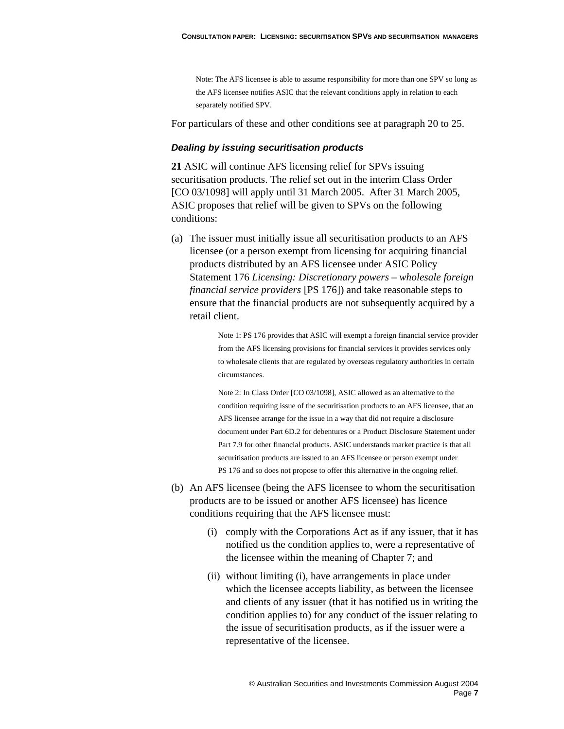Note: The AFS licensee is able to assume responsibility for more than one SPV so long as the AFS licensee notifies ASIC that the relevant conditions apply in relation to each separately notified SPV.

For particulars of these and other conditions see at paragraph 20 to 25.

#### *Dealing by issuing securitisation products*

**21** ASIC will continue AFS licensing relief for SPVs issuing securitisation products. The relief set out in the interim Class Order [CO 03/1098] will apply until 31 March 2005. After 31 March 2005, ASIC proposes that relief will be given to SPVs on the following conditions:

(a) The issuer must initially issue all securitisation products to an AFS licensee (or a person exempt from licensing for acquiring financial products distributed by an AFS licensee under ASIC Policy Statement 176 *Licensing: Discretionary powers – wholesale foreign financial service providers* [PS 176]) and take reasonable steps to ensure that the financial products are not subsequently acquired by a retail client.

> Note 1: PS 176 provides that ASIC will exempt a foreign financial service provider from the AFS licensing provisions for financial services it provides services only to wholesale clients that are regulated by overseas regulatory authorities in certain circumstances.

Note 2: In Class Order [CO 03/1098], ASIC allowed as an alternative to the condition requiring issue of the securitisation products to an AFS licensee, that an AFS licensee arrange for the issue in a way that did not require a disclosure document under Part 6D.2 for debentures or a Product Disclosure Statement under Part 7.9 for other financial products. ASIC understands market practice is that all securitisation products are issued to an AFS licensee or person exempt under PS 176 and so does not propose to offer this alternative in the ongoing relief.

- (b) An AFS licensee (being the AFS licensee to whom the securitisation products are to be issued or another AFS licensee) has licence conditions requiring that the AFS licensee must:
	- (i) comply with the Corporations Act as if any issuer, that it has notified us the condition applies to, were a representative of the licensee within the meaning of Chapter 7; and
	- (ii) without limiting (i), have arrangements in place under which the licensee accepts liability, as between the licensee and clients of any issuer (that it has notified us in writing the condition applies to) for any conduct of the issuer relating to the issue of securitisation products, as if the issuer were a representative of the licensee.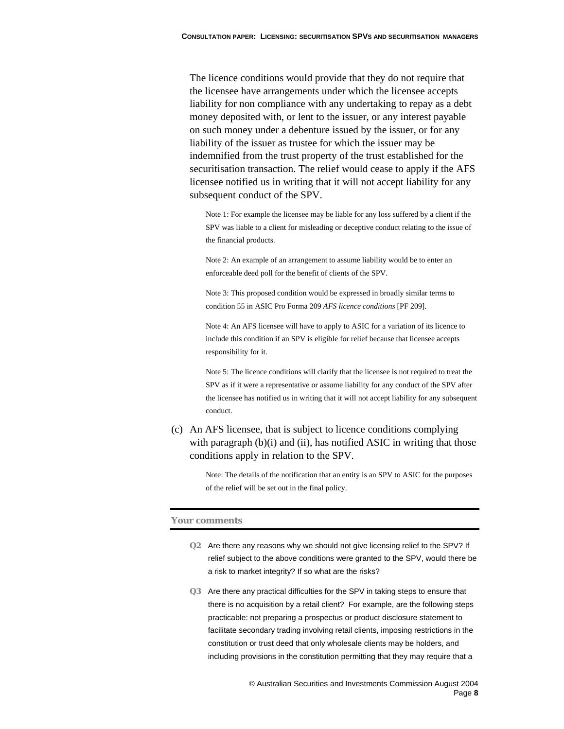The licence conditions would provide that they do not require that the licensee have arrangements under which the licensee accepts liability for non compliance with any undertaking to repay as a debt money deposited with, or lent to the issuer, or any interest payable on such money under a debenture issued by the issuer, or for any liability of the issuer as trustee for which the issuer may be indemnified from the trust property of the trust established for the securitisation transaction. The relief would cease to apply if the AFS licensee notified us in writing that it will not accept liability for any subsequent conduct of the SPV.

Note 1: For example the licensee may be liable for any loss suffered by a client if the SPV was liable to a client for misleading or deceptive conduct relating to the issue of the financial products.

Note 2: An example of an arrangement to assume liability would be to enter an enforceable deed poll for the benefit of clients of the SPV.

Note 3: This proposed condition would be expressed in broadly similar terms to condition 55 in ASIC Pro Forma 209 *AFS licence conditions* [PF 209].

Note 4: An AFS licensee will have to apply to ASIC for a variation of its licence to include this condition if an SPV is eligible for relief because that licensee accepts responsibility for it.

Note 5: The licence conditions will clarify that the licensee is not required to treat the SPV as if it were a representative or assume liability for any conduct of the SPV after the licensee has notified us in writing that it will not accept liability for any subsequent conduct.

(c) An AFS licensee, that is subject to licence conditions complying with paragraph  $(b)(i)$  and  $(ii)$ , has notified ASIC in writing that those conditions apply in relation to the SPV.

> Note: The details of the notification that an entity is an SPV to ASIC for the purposes of the relief will be set out in the final policy.

#### **Your comments**

- **Q2** Are there any reasons why we should not give licensing relief to the SPV? If relief subject to the above conditions were granted to the SPV, would there be a risk to market integrity? If so what are the risks?
- **Q3** Are there any practical difficulties for the SPV in taking steps to ensure that there is no acquisition by a retail client? For example, are the following steps practicable: not preparing a prospectus or product disclosure statement to facilitate secondary trading involving retail clients, imposing restrictions in the constitution or trust deed that only wholesale clients may be holders, and including provisions in the constitution permitting that they may require that a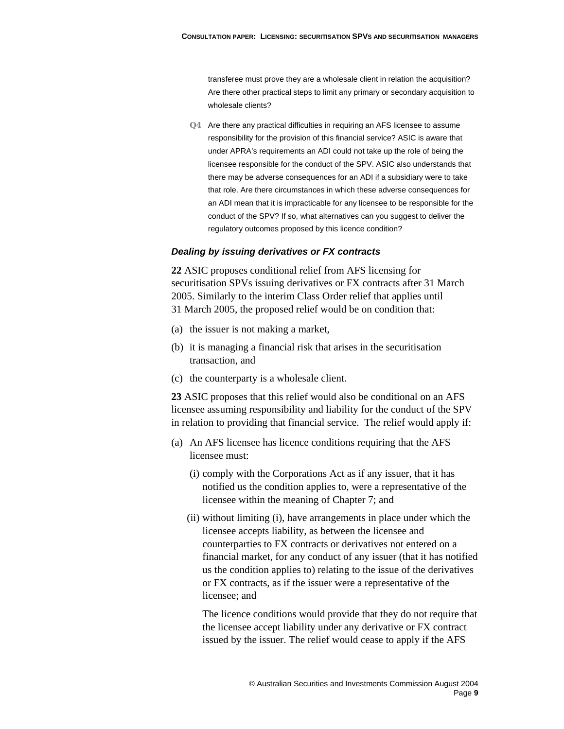transferee must prove they are a wholesale client in relation the acquisition? Are there other practical steps to limit any primary or secondary acquisition to wholesale clients?

**Q4** Are there any practical difficulties in requiring an AFS licensee to assume responsibility for the provision of this financial service? ASIC is aware that under APRA's requirements an ADI could not take up the role of being the licensee responsible for the conduct of the SPV. ASIC also understands that there may be adverse consequences for an ADI if a subsidiary were to take that role. Are there circumstances in which these adverse consequences for an ADI mean that it is impracticable for any licensee to be responsible for the conduct of the SPV? If so, what alternatives can you suggest to deliver the regulatory outcomes proposed by this licence condition?

#### *Dealing by issuing derivatives or FX contracts*

**22** ASIC proposes conditional relief from AFS licensing for securitisation SPVs issuing derivatives or FX contracts after 31 March 2005. Similarly to the interim Class Order relief that applies until 31 March 2005, the proposed relief would be on condition that:

- (a) the issuer is not making a market,
- (b) it is managing a financial risk that arises in the securitisation transaction, and
- (c) the counterparty is a wholesale client.

**23** ASIC proposes that this relief would also be conditional on an AFS licensee assuming responsibility and liability for the conduct of the SPV in relation to providing that financial service. The relief would apply if:

- (a) An AFS licensee has licence conditions requiring that the AFS licensee must:
	- (i) comply with the Corporations Act as if any issuer, that it has notified us the condition applies to, were a representative of the licensee within the meaning of Chapter 7; and
	- (ii) without limiting (i), have arrangements in place under which the licensee accepts liability, as between the licensee and counterparties to FX contracts or derivatives not entered on a financial market, for any conduct of any issuer (that it has notified us the condition applies to) relating to the issue of the derivatives or FX contracts, as if the issuer were a representative of the licensee; and

The licence conditions would provide that they do not require that the licensee accept liability under any derivative or FX contract issued by the issuer. The relief would cease to apply if the AFS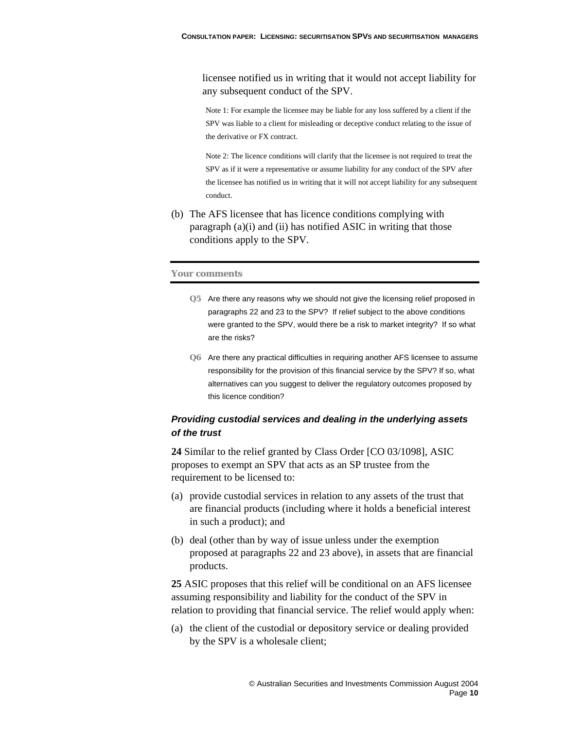licensee notified us in writing that it would not accept liability for any subsequent conduct of the SPV.

Note 1: For example the licensee may be liable for any loss suffered by a client if the SPV was liable to a client for misleading or deceptive conduct relating to the issue of the derivative or FX contract.

Note 2: The licence conditions will clarify that the licensee is not required to treat the SPV as if it were a representative or assume liability for any conduct of the SPV after the licensee has notified us in writing that it will not accept liability for any subsequent conduct.

(b) The AFS licensee that has licence conditions complying with paragraph (a)(i) and (ii) has notified ASIC in writing that those conditions apply to the SPV.

#### **Your comments**

- **Q5** Are there any reasons why we should not give the licensing relief proposed in paragraphs 22 and 23 to the SPV? If relief subject to the above conditions were granted to the SPV, would there be a risk to market integrity? If so what are the risks?
- **Q6** Are there any practical difficulties in requiring another AFS licensee to assume responsibility for the provision of this financial service by the SPV? If so, what alternatives can you suggest to deliver the regulatory outcomes proposed by this licence condition?

### *Providing custodial services and dealing in the underlying assets of the trust*

**24** Similar to the relief granted by Class Order [CO 03/1098], ASIC proposes to exempt an SPV that acts as an SP trustee from the requirement to be licensed to:

- (a) provide custodial services in relation to any assets of the trust that are financial products (including where it holds a beneficial interest in such a product); and
- (b) deal (other than by way of issue unless under the exemption proposed at paragraphs 22 and 23 above), in assets that are financial products.

**25** ASIC proposes that this relief will be conditional on an AFS licensee assuming responsibility and liability for the conduct of the SPV in relation to providing that financial service. The relief would apply when:

(a) the client of the custodial or depository service or dealing provided by the SPV is a wholesale client;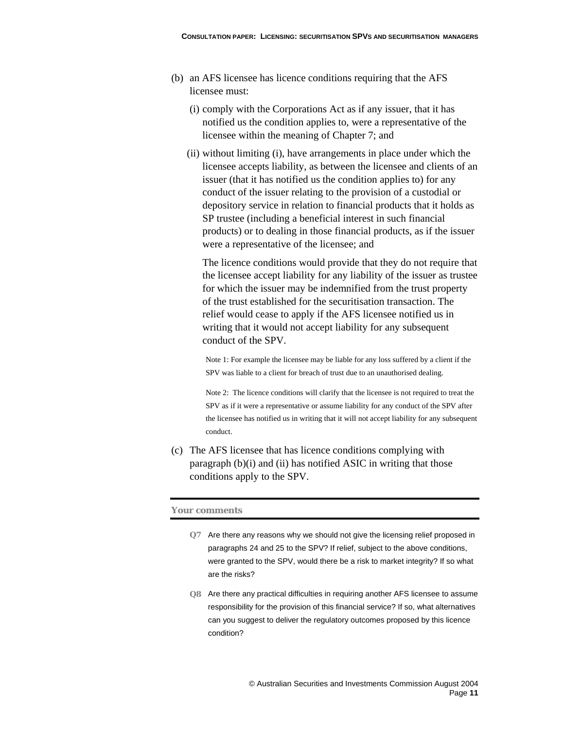- (b) an AFS licensee has licence conditions requiring that the AFS licensee must:
	- (i) comply with the Corporations Act as if any issuer, that it has notified us the condition applies to, were a representative of the licensee within the meaning of Chapter 7; and
	- (ii) without limiting (i), have arrangements in place under which the licensee accepts liability, as between the licensee and clients of an issuer (that it has notified us the condition applies to) for any conduct of the issuer relating to the provision of a custodial or depository service in relation to financial products that it holds as SP trustee (including a beneficial interest in such financial products) or to dealing in those financial products, as if the issuer were a representative of the licensee; and

The licence conditions would provide that they do not require that the licensee accept liability for any liability of the issuer as trustee for which the issuer may be indemnified from the trust property of the trust established for the securitisation transaction. The relief would cease to apply if the AFS licensee notified us in writing that it would not accept liability for any subsequent conduct of the SPV.

Note 1: For example the licensee may be liable for any loss suffered by a client if the SPV was liable to a client for breach of trust due to an unauthorised dealing.

Note 2: The licence conditions will clarify that the licensee is not required to treat the SPV as if it were a representative or assume liability for any conduct of the SPV after the licensee has notified us in writing that it will not accept liability for any subsequent conduct.

(c) The AFS licensee that has licence conditions complying with paragraph (b)(i) and (ii) has notified ASIC in writing that those conditions apply to the SPV.

#### **Your comments**

- **Q7** Are there any reasons why we should not give the licensing relief proposed in paragraphs 24 and 25 to the SPV? If relief, subject to the above conditions, were granted to the SPV, would there be a risk to market integrity? If so what are the risks?
- **Q8** Are there any practical difficulties in requiring another AFS licensee to assume responsibility for the provision of this financial service? If so, what alternatives can you suggest to deliver the regulatory outcomes proposed by this licence condition?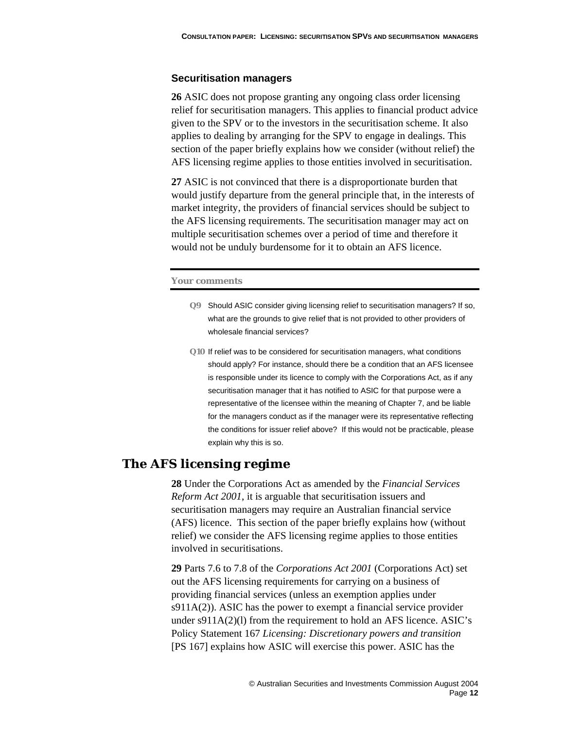#### **Securitisation managers**

**26** ASIC does not propose granting any ongoing class order licensing relief for securitisation managers. This applies to financial product advice given to the SPV or to the investors in the securitisation scheme. It also applies to dealing by arranging for the SPV to engage in dealings. This section of the paper briefly explains how we consider (without relief) the AFS licensing regime applies to those entities involved in securitisation.

**27** ASIC is not convinced that there is a disproportionate burden that would justify departure from the general principle that, in the interests of market integrity, the providers of financial services should be subject to the AFS licensing requirements. The securitisation manager may act on multiple securitisation schemes over a period of time and therefore it would not be unduly burdensome for it to obtain an AFS licence.

#### **Your comments**

- **Q9** Should ASIC consider giving licensing relief to securitisation managers? If so, what are the grounds to give relief that is not provided to other providers of wholesale financial services?
- **Q10** If relief was to be considered for securitisation managers, what conditions should apply? For instance, should there be a condition that an AFS licensee is responsible under its licence to comply with the Corporations Act, as if any securitisation manager that it has notified to ASIC for that purpose were a representative of the licensee within the meaning of Chapter 7, and be liable for the managers conduct as if the manager were its representative reflecting the conditions for issuer relief above? If this would not be practicable, please explain why this is so.

### **The AFS licensing regime**

**28** Under the Corporations Act as amended by the *Financial Services Reform Act 2001*, it is arguable that securitisation issuers and securitisation managers may require an Australian financial service (AFS) licence. This section of the paper briefly explains how (without relief) we consider the AFS licensing regime applies to those entities involved in securitisations.

**29** Parts 7.6 to 7.8 of the *Corporations Act 2001* (Corporations Act) set out the AFS licensing requirements for carrying on a business of providing financial services (unless an exemption applies under  $s911A(2)$ ). ASIC has the power to exempt a financial service provider under s911A(2)(l) from the requirement to hold an AFS licence. ASIC's Policy Statement 167 *Licensing: Discretionary powers and transition*  [PS 167] explains how ASIC will exercise this power. ASIC has the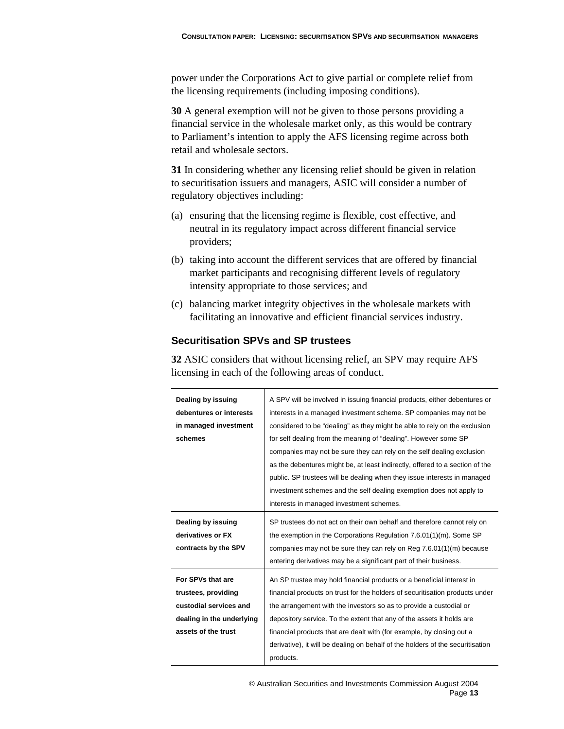power under the Corporations Act to give partial or complete relief from the licensing requirements (including imposing conditions).

**30** A general exemption will not be given to those persons providing a financial service in the wholesale market only, as this would be contrary to Parliament's intention to apply the AFS licensing regime across both retail and wholesale sectors.

**31** In considering whether any licensing relief should be given in relation to securitisation issuers and managers, ASIC will consider a number of regulatory objectives including:

- (a) ensuring that the licensing regime is flexible, cost effective, and neutral in its regulatory impact across different financial service providers;
- (b) taking into account the different services that are offered by financial market participants and recognising different levels of regulatory intensity appropriate to those services; and
- (c) balancing market integrity objectives in the wholesale markets with facilitating an innovative and efficient financial services industry.

## **Securitisation SPVs and SP trustees**

**32** ASIC considers that without licensing relief, an SPV may require AFS licensing in each of the following areas of conduct.

| Dealing by issuing        | A SPV will be involved in issuing financial products, either debentures or     |
|---------------------------|--------------------------------------------------------------------------------|
| debentures or interests   | interests in a managed investment scheme. SP companies may not be              |
| in managed investment     | considered to be "dealing" as they might be able to rely on the exclusion      |
| schemes                   | for self dealing from the meaning of "dealing". However some SP                |
|                           | companies may not be sure they can rely on the self dealing exclusion          |
|                           | as the debentures might be, at least indirectly, offered to a section of the   |
|                           | public. SP trustees will be dealing when they issue interests in managed       |
|                           | investment schemes and the self dealing exemption does not apply to            |
|                           | interests in managed investment schemes.                                       |
| Dealing by issuing        | SP trustees do not act on their own behalf and therefore cannot rely on        |
| derivatives or FX         | the exemption in the Corporations Regulation 7.6.01(1)(m). Some SP             |
| contracts by the SPV      | companies may not be sure they can rely on Reg $7.6.01(1)(m)$ because          |
|                           | entering derivatives may be a significant part of their business.              |
| For SPVs that are         | An SP trustee may hold financial products or a beneficial interest in          |
| trustees, providing       | financial products on trust for the holders of securitisation products under   |
| custodial services and    | the arrangement with the investors so as to provide a custodial or             |
| dealing in the underlying | depository service. To the extent that any of the assets it holds are          |
| assets of the trust       | financial products that are dealt with (for example, by closing out a          |
|                           | derivative), it will be dealing on behalf of the holders of the securitisation |
|                           | products.                                                                      |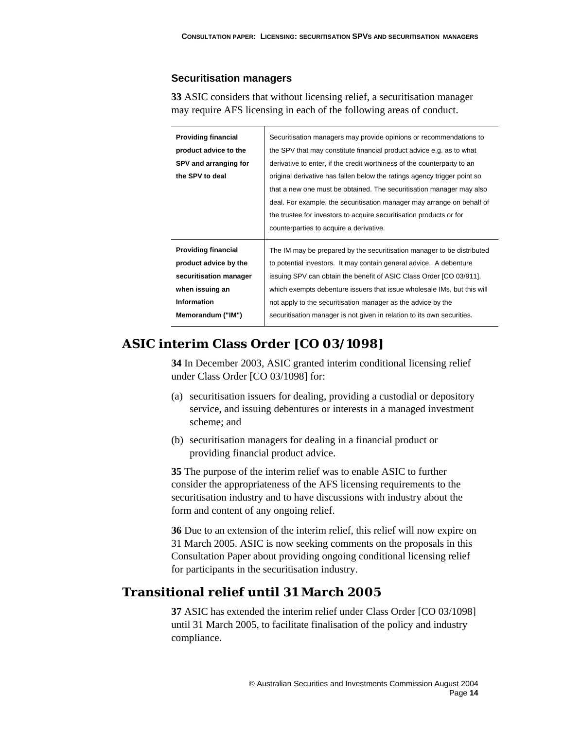#### **Securitisation managers**

**33** ASIC considers that without licensing relief, a securitisation manager may require AFS licensing in each of the following areas of conduct.

| <b>Providing financial</b> | Securitisation managers may provide opinions or recommendations to       |
|----------------------------|--------------------------------------------------------------------------|
| product advice to the      | the SPV that may constitute financial product advice e.g. as to what     |
| SPV and arranging for      | derivative to enter, if the credit worthiness of the counterparty to an  |
| the SPV to deal            | original derivative has fallen below the ratings agency trigger point so |
|                            | that a new one must be obtained. The securitisation manager may also     |
|                            | deal. For example, the securitisation manager may arrange on behalf of   |
|                            | the trustee for investors to acquire securitisation products or for      |
|                            |                                                                          |
|                            | counterparties to acquire a derivative.                                  |
| <b>Providing financial</b> | The IM may be prepared by the securitisation manager to be distributed   |
| product advice by the      | to potential investors. It may contain general advice. A debenture       |
| securitisation manager     | issuing SPV can obtain the benefit of ASIC Class Order [CO 03/911],      |
| when issuing an            | which exempts debenture issuers that issue wholesale IMs, but this will  |
| <b>Information</b>         | not apply to the securitisation manager as the advice by the             |
| Memorandum ("IM")          | securitisation manager is not given in relation to its own securities.   |

## **ASIC interim Class Order [CO 03/1098]**

**34** In December 2003, ASIC granted interim conditional licensing relief under Class Order [CO 03/1098] for:

- (a) securitisation issuers for dealing, providing a custodial or depository service, and issuing debentures or interests in a managed investment scheme; and
- (b) securitisation managers for dealing in a financial product or providing financial product advice.

**35** The purpose of the interim relief was to enable ASIC to further consider the appropriateness of the AFS licensing requirements to the securitisation industry and to have discussions with industry about the form and content of any ongoing relief.

**36** Due to an extension of the interim relief, this relief will now expire on 31 March 2005. ASIC is now seeking comments on the proposals in this Consultation Paper about providing ongoing conditional licensing relief for participants in the securitisation industry.

## **Transitional relief until 31 March 2005**

**37** ASIC has extended the interim relief under Class Order [CO 03/1098] until 31 March 2005, to facilitate finalisation of the policy and industry compliance.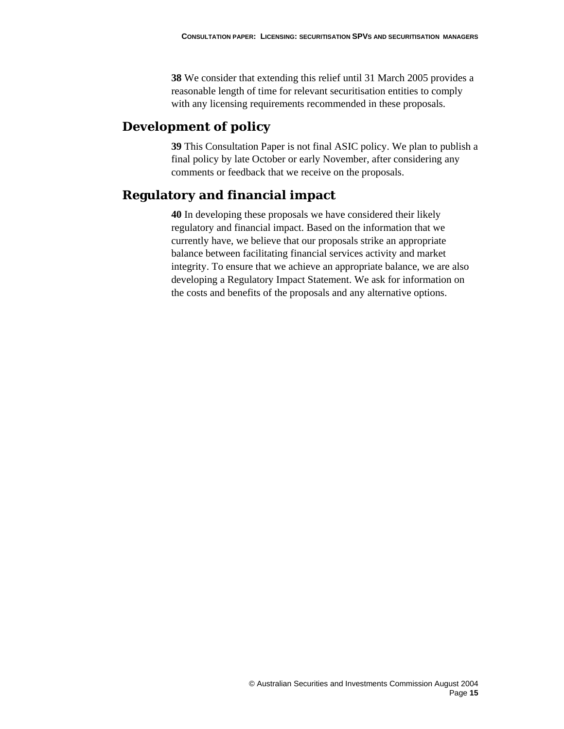**38** We consider that extending this relief until 31 March 2005 provides a reasonable length of time for relevant securitisation entities to comply with any licensing requirements recommended in these proposals.

## **Development of policy**

**39** This Consultation Paper is not final ASIC policy. We plan to publish a final policy by late October or early November, after considering any comments or feedback that we receive on the proposals.

## **Regulatory and financial impact**

**40** In developing these proposals we have considered their likely regulatory and financial impact. Based on the information that we currently have, we believe that our proposals strike an appropriate balance between facilitating financial services activity and market integrity. To ensure that we achieve an appropriate balance, we are also developing a Regulatory Impact Statement. We ask for information on the costs and benefits of the proposals and any alternative options.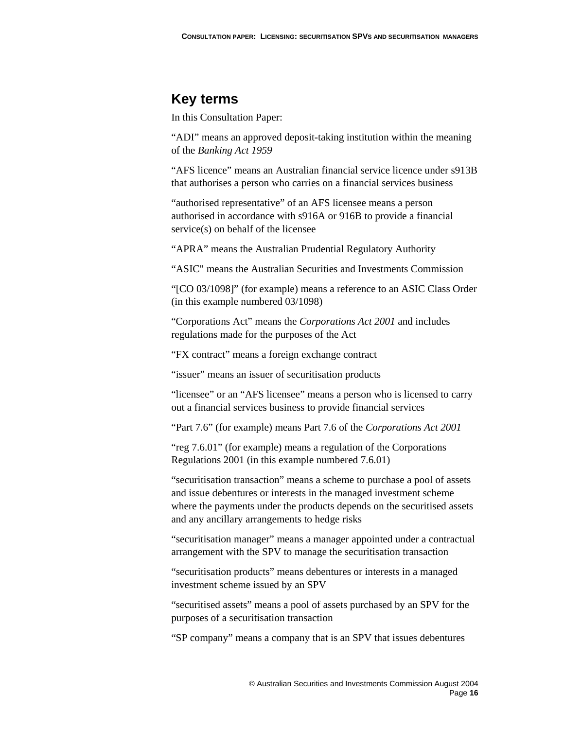## **Key terms**

In this Consultation Paper:

"ADI" means an approved deposit-taking institution within the meaning of the *Banking Act 1959*

"AFS licence" means an Australian financial service licence under s913B that authorises a person who carries on a financial services business

"authorised representative" of an AFS licensee means a person authorised in accordance with s916A or 916B to provide a financial service(s) on behalf of the licensee

"APRA" means the Australian Prudential Regulatory Authority

"ASIC" means the Australian Securities and Investments Commission

"[CO 03/1098]" (for example) means a reference to an ASIC Class Order (in this example numbered 03/1098)

"Corporations Act" means the *Corporations Act 2001* and includes regulations made for the purposes of the Act

"FX contract" means a foreign exchange contract

"issuer" means an issuer of securitisation products

"licensee" or an "AFS licensee" means a person who is licensed to carry out a financial services business to provide financial services

"Part 7.6" (for example) means Part 7.6 of the *Corporations Act 2001*

"reg 7.6.01" (for example) means a regulation of the Corporations Regulations 2001 (in this example numbered 7.6.01)

"securitisation transaction" means a scheme to purchase a pool of assets and issue debentures or interests in the managed investment scheme where the payments under the products depends on the securitised assets and any ancillary arrangements to hedge risks

"securitisation manager" means a manager appointed under a contractual arrangement with the SPV to manage the securitisation transaction

"securitisation products" means debentures or interests in a managed investment scheme issued by an SPV

"securitised assets" means a pool of assets purchased by an SPV for the purposes of a securitisation transaction

"SP company" means a company that is an SPV that issues debentures